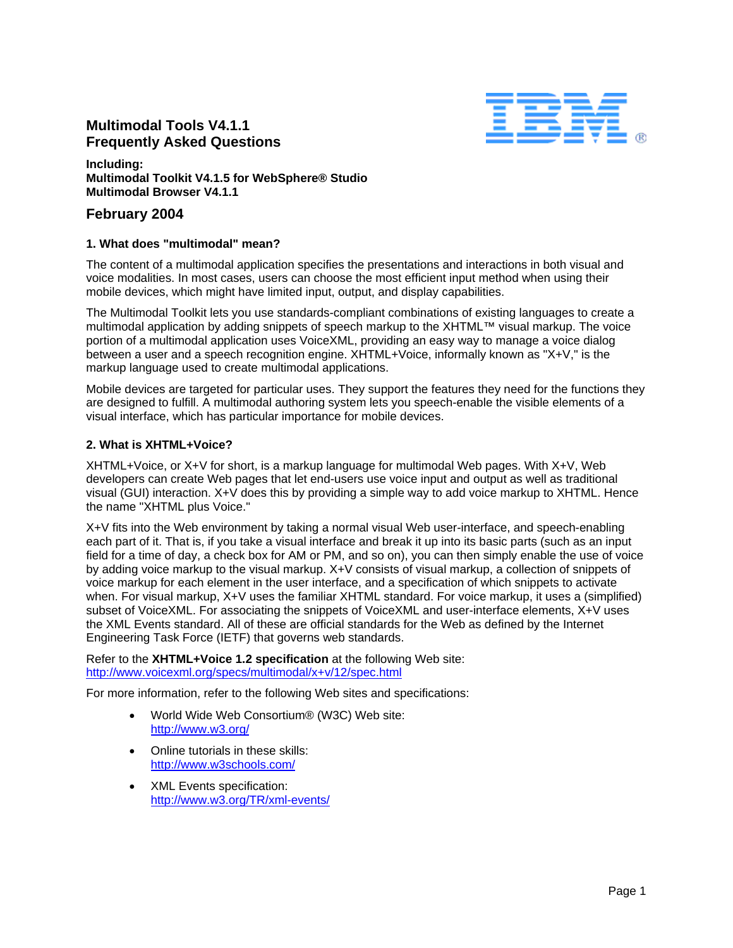# **Multimodal Tools V4.1.1 Frequently Asked Questions**



#### **Including: Multimodal Toolkit V4.1.5 for WebSphere® Studio Multimodal Browser V4.1.1**

# **February 2004**

# **1. What does "multimodal" mean?**

The content of a multimodal application specifies the presentations and interactions in both visual and voice modalities. In most cases, users can choose the most efficient input method when using their mobile devices, which might have limited input, output, and display capabilities.

The Multimodal Toolkit lets you use standards-compliant combinations of existing languages to create a multimodal application by adding snippets of speech markup to the XHTML™ visual markup. The voice portion of a multimodal application uses VoiceXML, providing an easy way to manage a voice dialog between a user and a speech recognition engine. XHTML+Voice, informally known as "X+V," is the markup language used to create multimodal applications.

Mobile devices are targeted for particular uses. They support the features they need for the functions they are designed to fulfill. A multimodal authoring system lets you speech-enable the visible elements of a visual interface, which has particular importance for mobile devices.

# **2. What is XHTML+Voice?**

XHTML+Voice, or X+V for short, is a markup language for multimodal Web pages. With X+V, Web developers can create Web pages that let end-users use voice input and output as well as traditional visual (GUI) interaction. X+V does this by providing a simple way to add voice markup to XHTML. Hence the name "XHTML plus Voice."

X+V fits into the Web environment by taking a normal visual Web user-interface, and speech-enabling each part of it. That is, if you take a visual interface and break it up into its basic parts (such as an input field for a time of day, a check box for AM or PM, and so on), you can then simply enable the use of voice by adding voice markup to the visual markup. X+V consists of visual markup, a collection of snippets of voice markup for each element in the user interface, and a specification of which snippets to activate when. For visual markup, X+V uses the familiar XHTML standard. For voice markup, it uses a (simplified) subset of VoiceXML. For associating the snippets of VoiceXML and user-interface elements, X+V uses the XML Events standard. All of these are official standards for the Web as defined by the Internet Engineering Task Force (IETF) that governs web standards.

Refer to the **XHTML+Voice 1.2 specification** at the following Web site: <http://www.voicexml.org/specs/multimodal/x+v/12/spec.html>

For more information, refer to the following Web sites and specifications:

- World Wide Web Consortium® (W3C) Web site: <http://www.w3.org/>
- Online tutorials in these skills: <http://www.w3schools.com/>
- XML Events specification: <http://www.w3.org/TR/xml-events/>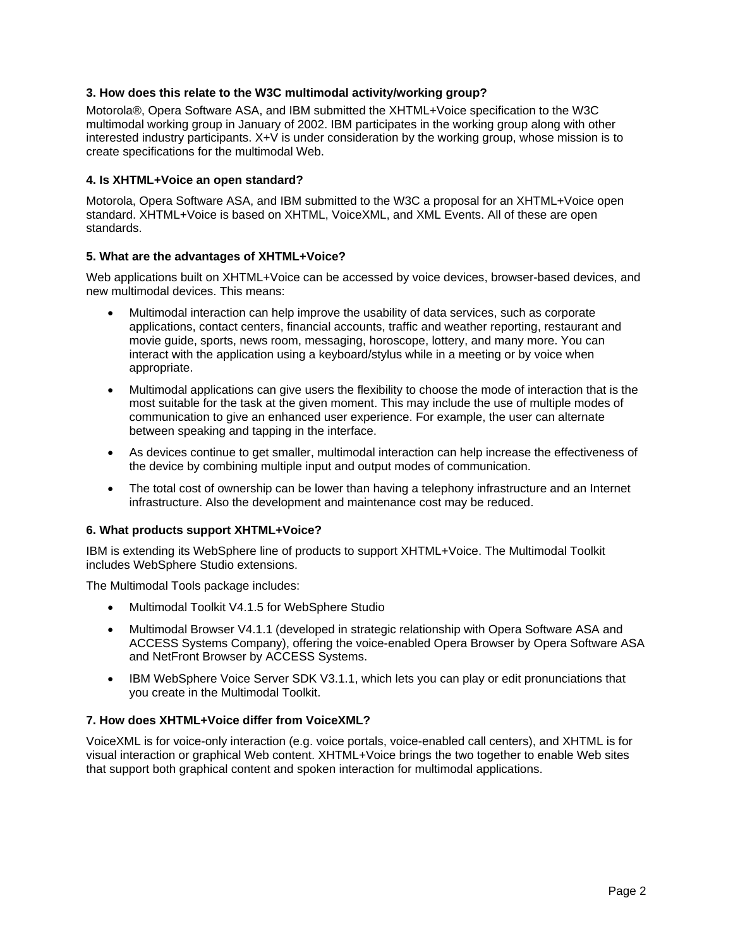# **3. How does this relate to the W3C multimodal activity/working group?**

Motorola®, Opera Software ASA, and IBM submitted the XHTML+Voice specification to the W3C multimodal working group in January of 2002. IBM participates in the working group along with other interested industry participants. X+V is under consideration by the working group, whose mission is to create specifications for the multimodal Web.

#### **4. Is XHTML+Voice an open standard?**

Motorola, Opera Software ASA, and IBM submitted to the W3C a proposal for an XHTML+Voice open standard. XHTML+Voice is based on XHTML, VoiceXML, and XML Events. All of these are open standards.

#### **5. What are the advantages of XHTML+Voice?**

Web applications built on XHTML+Voice can be accessed by voice devices, browser-based devices, and new multimodal devices. This means:

- Multimodal interaction can help improve the usability of data services, such as corporate applications, contact centers, financial accounts, traffic and weather reporting, restaurant and movie guide, sports, news room, messaging, horoscope, lottery, and many more. You can interact with the application using a keyboard/stylus while in a meeting or by voice when appropriate.
- Multimodal applications can give users the flexibility to choose the mode of interaction that is the most suitable for the task at the given moment. This may include the use of multiple modes of communication to give an enhanced user experience. For example, the user can alternate between speaking and tapping in the interface.
- As devices continue to get smaller, multimodal interaction can help increase the effectiveness of the device by combining multiple input and output modes of communication.
- The total cost of ownership can be lower than having a telephony infrastructure and an Internet infrastructure. Also the development and maintenance cost may be reduced.

#### **6. What products support XHTML+Voice?**

IBM is extending its WebSphere line of products to support XHTML+Voice. The Multimodal Toolkit includes WebSphere Studio extensions.

The Multimodal Tools package includes:

- Multimodal Toolkit V4.1.5 for WebSphere Studio
- Multimodal Browser V4.1.1 (developed in strategic relationship with Opera Software ASA and ACCESS Systems Company), offering the voice-enabled Opera Browser by Opera Software ASA and NetFront Browser by ACCESS Systems.
- IBM WebSphere Voice Server SDK V3.1.1, which lets you can play or edit pronunciations that you create in the Multimodal Toolkit.

#### **7. How does XHTML+Voice differ from VoiceXML?**

VoiceXML is for voice-only interaction (e.g. voice portals, voice-enabled call centers), and XHTML is for visual interaction or graphical Web content. XHTML+Voice brings the two together to enable Web sites that support both graphical content and spoken interaction for multimodal applications.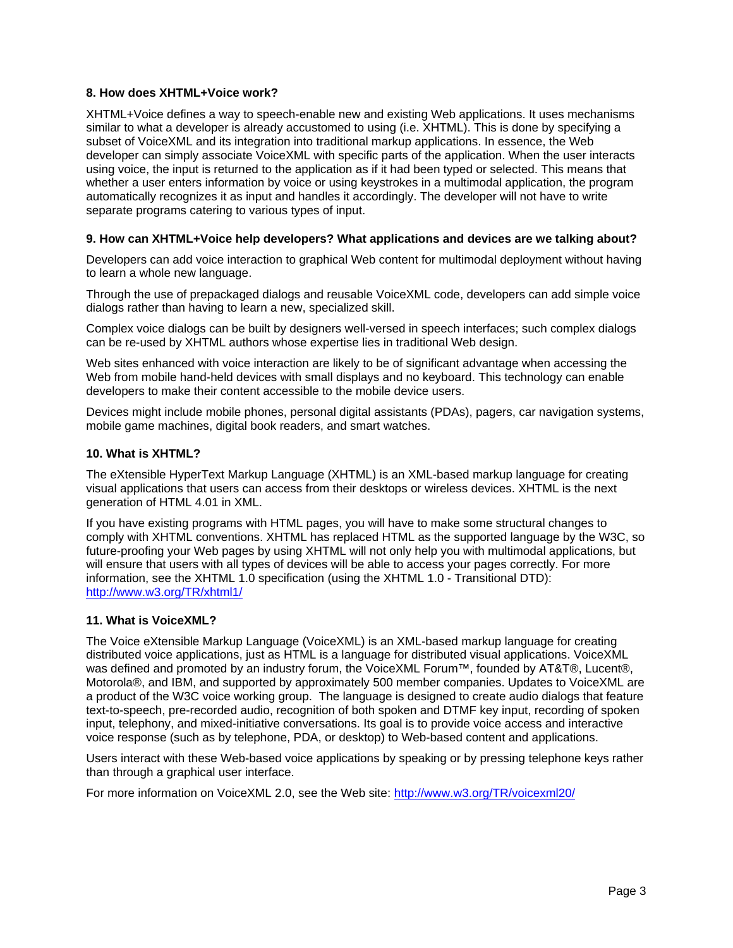# **8. How does XHTML+Voice work?**

XHTML+Voice defines a way to speech-enable new and existing Web applications. It uses mechanisms similar to what a developer is already accustomed to using (i.e. XHTML). This is done by specifying a subset of VoiceXML and its integration into traditional markup applications. In essence, the Web developer can simply associate VoiceXML with specific parts of the application. When the user interacts using voice, the input is returned to the application as if it had been typed or selected. This means that whether a user enters information by voice or using keystrokes in a multimodal application, the program automatically recognizes it as input and handles it accordingly. The developer will not have to write separate programs catering to various types of input.

#### **9. How can XHTML+Voice help developers? What applications and devices are we talking about?**

Developers can add voice interaction to graphical Web content for multimodal deployment without having to learn a whole new language.

Through the use of prepackaged dialogs and reusable VoiceXML code, developers can add simple voice dialogs rather than having to learn a new, specialized skill.

Complex voice dialogs can be built by designers well-versed in speech interfaces; such complex dialogs can be re-used by XHTML authors whose expertise lies in traditional Web design.

Web sites enhanced with voice interaction are likely to be of significant advantage when accessing the Web from mobile hand-held devices with small displays and no keyboard. This technology can enable developers to make their content accessible to the mobile device users.

Devices might include mobile phones, personal digital assistants (PDAs), pagers, car navigation systems, mobile game machines, digital book readers, and smart watches.

#### **10. What is XHTML?**

The eXtensible HyperText Markup Language (XHTML) is an XML-based markup language for creating visual applications that users can access from their desktops or wireless devices. XHTML is the next generation of HTML 4.01 in XML.

If you have existing programs with HTML pages, you will have to make some structural changes to comply with XHTML conventions. XHTML has replaced HTML as the supported language by the W3C, so future-proofing your Web pages by using XHTML will not only help you with multimodal applications, but will ensure that users with all types of devices will be able to access your pages correctly. For more information, see the XHTML 1.0 specification (using the XHTML 1.0 - Transitional DTD): <http://www.w3.org/TR/xhtml1/>

# **11. What is VoiceXML?**

The Voice eXtensible Markup Language (VoiceXML) is an XML-based markup language for creating distributed voice applications, just as HTML is a language for distributed visual applications. VoiceXML was defined and promoted by an industry forum, the VoiceXML Forum™, founded by AT&T®, Lucent®, Motorola®, and IBM, and supported by approximately 500 member companies. Updates to VoiceXML are a product of the W3C voice working group. The language is designed to create audio dialogs that feature text-to-speech, pre-recorded audio, recognition of both spoken and DTMF key input, recording of spoken input, telephony, and mixed-initiative conversations. Its goal is to provide voice access and interactive voice response (such as by telephone, PDA, or desktop) to Web-based content and applications.

Users interact with these Web-based voice applications by speaking or by pressing telephone keys rather than through a graphical user interface.

For more information on VoiceXML 2.0, see the Web site:<http://www.w3.org/TR/voicexml20/>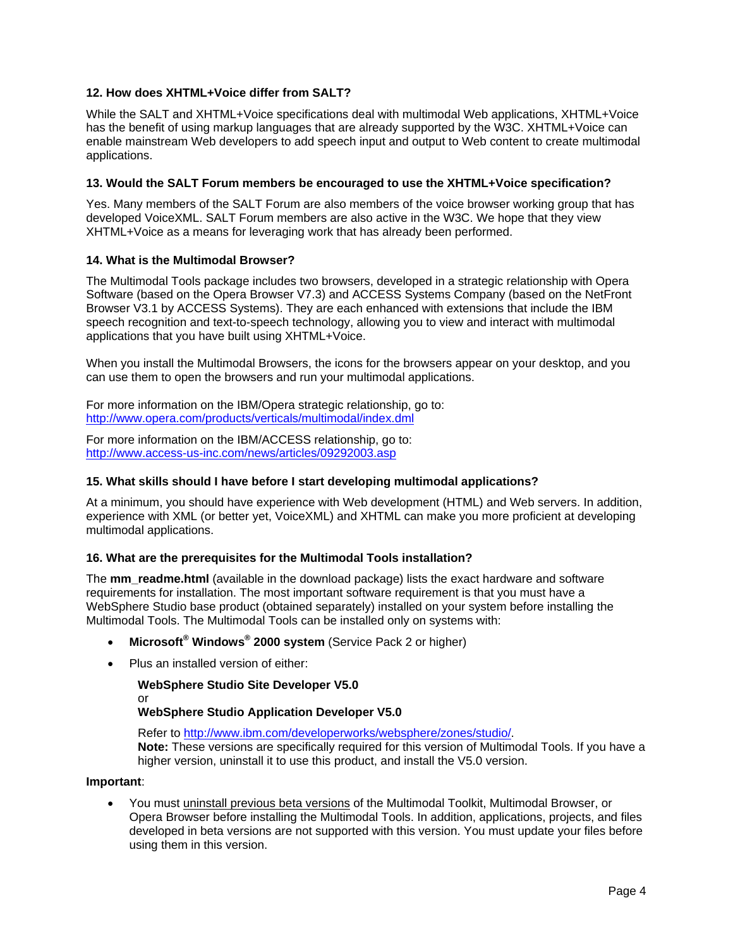# **12. How does XHTML+Voice differ from SALT?**

While the SALT and XHTML+Voice specifications deal with multimodal Web applications, XHTML+Voice has the benefit of using markup languages that are already supported by the W3C. XHTML+Voice can enable mainstream Web developers to add speech input and output to Web content to create multimodal applications.

#### **13. Would the SALT Forum members be encouraged to use the XHTML+Voice specification?**

Yes. Many members of the SALT Forum are also members of the voice browser working group that has developed VoiceXML. SALT Forum members are also active in the W3C. We hope that they view XHTML+Voice as a means for leveraging work that has already been performed.

#### **14. What is the Multimodal Browser?**

The Multimodal Tools package includes two browsers, developed in a strategic relationship with Opera Software (based on the Opera Browser V7.3) and ACCESS Systems Company (based on the NetFront Browser V3.1 by ACCESS Systems). They are each enhanced with extensions that include the IBM speech recognition and text-to-speech technology, allowing you to view and interact with multimodal applications that you have built using XHTML+Voice.

When you install the Multimodal Browsers, the icons for the browsers appear on your desktop, and you can use them to open the browsers and run your multimodal applications.

For more information on the IBM/Opera strategic relationship, go to: <http://www.opera.com/products/verticals/multimodal/index.dml>

For more information on the IBM/ACCESS relationship, go to: <http://www.access-us-inc.com/news/articles/09292003.asp>

#### **15. What skills should I have before I start developing multimodal applications?**

At a minimum, you should have experience with Web development (HTML) and Web servers. In addition, experience with XML (or better yet, VoiceXML) and XHTML can make you more proficient at developing multimodal applications.

#### **16. What are the prerequisites for the Multimodal Tools installation?**

The **mm\_readme.html** (available in the download package) lists the exact hardware and software requirements for installation. The most important software requirement is that you must have a WebSphere Studio base product (obtained separately) installed on your system before installing the Multimodal Tools. The Multimodal Tools can be installed only on systems with:

- **Microsoft ® Windows® 2000 system** (Service Pack 2 or higher)
- Plus an installed version of either:

**WebSphere Studio Site Developer V5.0** or **WebSphere Studio Application Developer V5.0**

Refer to <http://www.ibm.com/developerworks/websphere/zones/studio/>.

**Note:** These versions are specifically required for this version of Multimodal Tools. If you have a higher version, uninstall it to use this product, and install the V5.0 version.

#### **Important**:

You must uninstall previous beta versions of the Multimodal Toolkit, Multimodal Browser, or Opera Browser before installing the Multimodal Tools. In addition, applications, projects, and files developed in beta versions are not supported with this version. You must update your files before using them in this version.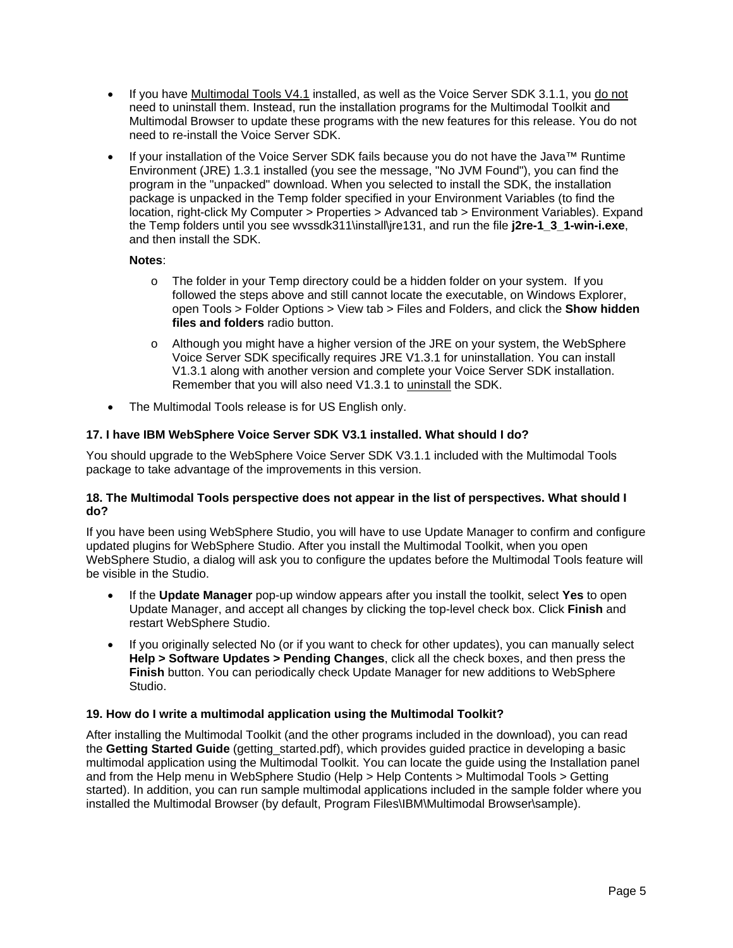- If you have Multimodal Tools V4.1 installed, as well as the Voice Server SDK 3.1.1, you do not need to uninstall them. Instead, run the installation programs for the Multimodal Toolkit and Multimodal Browser to update these programs with the new features for this release. You do not need to re-install the Voice Server SDK.
- If your installation of the Voice Server SDK fails because you do not have the Java™ Runtime Environment (JRE) 1.3.1 installed (you see the message, "No JVM Found"), you can find the program in the "unpacked" download. When you selected to install the SDK, the installation package is unpacked in the Temp folder specified in your Environment Variables (to find the location, right-click My Computer > Properties > Advanced tab > Environment Variables). Expand the Temp folders until you see wvssdk311\install\jre131, and run the file **j2re-1\_3\_1-win-i.exe**, and then install the SDK.

# **Notes**:

- $\circ$  The folder in your Temp directory could be a hidden folder on your system. If you followed the steps above and still cannot locate the executable, on Windows Explorer, open Tools > Folder Options > View tab > Files and Folders, and click the **Show hidden files and folders** radio button.
- $\circ$  Although you might have a higher version of the JRE on your system, the WebSphere Voice Server SDK specifically requires JRE V1.3.1 for uninstallation. You can install V1.3.1 along with another version and complete your Voice Server SDK installation. Remember that you will also need V1.3.1 to uninstall the SDK.
- The Multimodal Tools release is for US English only.

# **17. I have IBM WebSphere Voice Server SDK V3.1 installed. What should I do?**

You should upgrade to the WebSphere Voice Server SDK V3.1.1 included with the Multimodal Tools package to take advantage of the improvements in this version.

#### **18. The Multimodal Tools perspective does not appear in the list of perspectives. What should I do?**

If you have been using WebSphere Studio, you will have to use Update Manager to confirm and configure updated plugins for WebSphere Studio. After you install the Multimodal Toolkit, when you open WebSphere Studio, a dialog will ask you to configure the updates before the Multimodal Tools feature will be visible in the Studio.

- If the **Update Manager** pop-up window appears after you install the toolkit, select **Yes** to open Update Manager, and accept all changes by clicking the top-level check box. Click **Finish** and restart WebSphere Studio.
- If you originally selected No (or if you want to check for other updates), you can manually select **Help > Software Updates > Pending Changes**, click all the check boxes, and then press the **Finish** button. You can periodically check Update Manager for new additions to WebSphere Studio.

#### **19. How do I write a multimodal application using the Multimodal Toolkit?**

After installing the Multimodal Toolkit (and the other programs included in the download), you can read the **Getting Started Guide** (getting\_started.pdf), which provides guided practice in developing a basic multimodal application using the Multimodal Toolkit. You can locate the guide using the Installation panel and from the Help menu in WebSphere Studio (Help > Help Contents > Multimodal Tools > Getting started). In addition, you can run sample multimodal applications included in the sample folder where you installed the Multimodal Browser (by default, Program Files\IBM\Multimodal Browser\sample).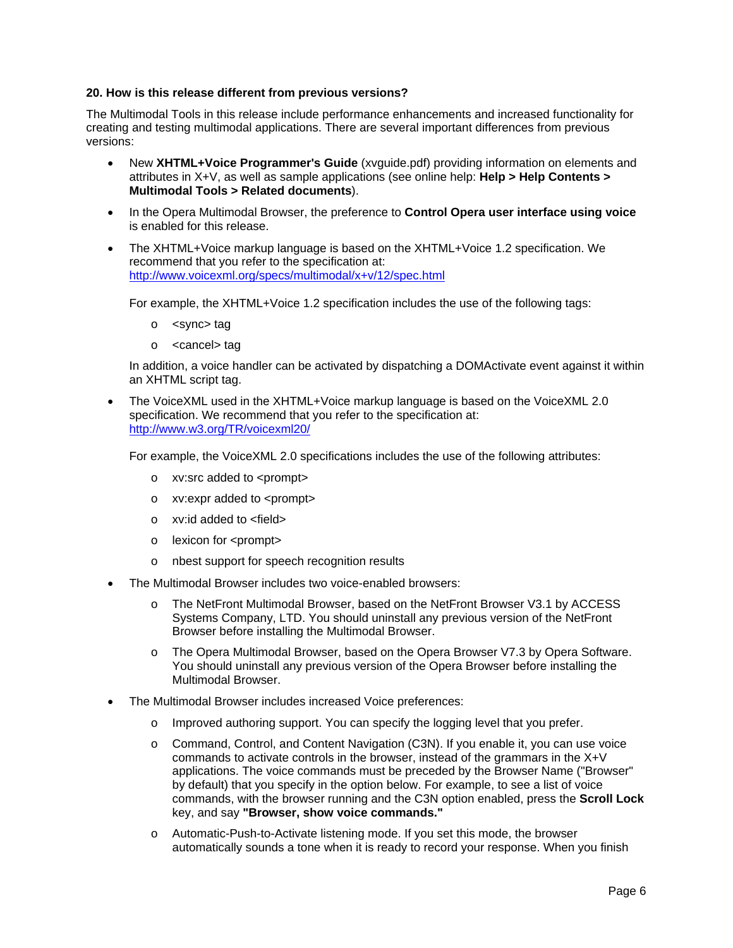#### **20. How is this release different from previous versions?**

The Multimodal Tools in this release include performance enhancements and increased functionality for creating and testing multimodal applications. There are several important differences from previous versions:

- New **XHTML+Voice Programmer's Guide** (xvguide.pdf) providing information on elements and attributes in X+V, as well as sample applications (see online help: **Help > Help Contents > Multimodal Tools > Related documents**).
- In the Opera Multimodal Browser, the preference to **Control Opera user interface using voice**  is enabled for this release.
- The XHTML+Voice markup language is based on the XHTML+Voice 1.2 specification. We recommend that you refer to the specification at: <http://www.voicexml.org/specs/multimodal/x+v/12/spec.html>

For example, the XHTML+Voice 1.2 specification includes the use of the following tags:

- o <sync> tag
- o <cancel> tag

In addition, a voice handler can be activated by dispatching a DOMActivate event against it within an XHTML script tag.

• The VoiceXML used in the XHTML+Voice markup language is based on the VoiceXML 2.0 specification. We recommend that you refer to the specification at: <http://www.w3.org/TR/voicexml20/>

For example, the VoiceXML 2.0 specifications includes the use of the following attributes:

- o xv:src added to <prompt>
- o xv:expr added to <prompt>
- o xv:id added to <field>
- o lexicon for <prompt>
- o nbest support for speech recognition results
- The Multimodal Browser includes two voice-enabled browsers:
	- o The NetFront Multimodal Browser, based on the NetFront Browser V3.1 by ACCESS Systems Company, LTD. You should uninstall any previous version of the NetFront Browser before installing the Multimodal Browser.
	- o The Opera Multimodal Browser, based on the Opera Browser V7.3 by Opera Software. You should uninstall any previous version of the Opera Browser before installing the Multimodal Browser.
- The Multimodal Browser includes increased Voice preferences:
	- Improved authoring support. You can specify the logging level that you prefer.
	- o Command, Control, and Content Navigation (C3N). If you enable it, you can use voice commands to activate controls in the browser, instead of the grammars in the X+V applications. The voice commands must be preceded by the Browser Name ("Browser" by default) that you specify in the option below. For example, to see a list of voice commands, with the browser running and the C3N option enabled, press the **Scroll Lock** key, and say **"Browser, show voice commands."**
	- o Automatic-Push-to-Activate listening mode. If you set this mode, the browser automatically sounds a tone when it is ready to record your response. When you finish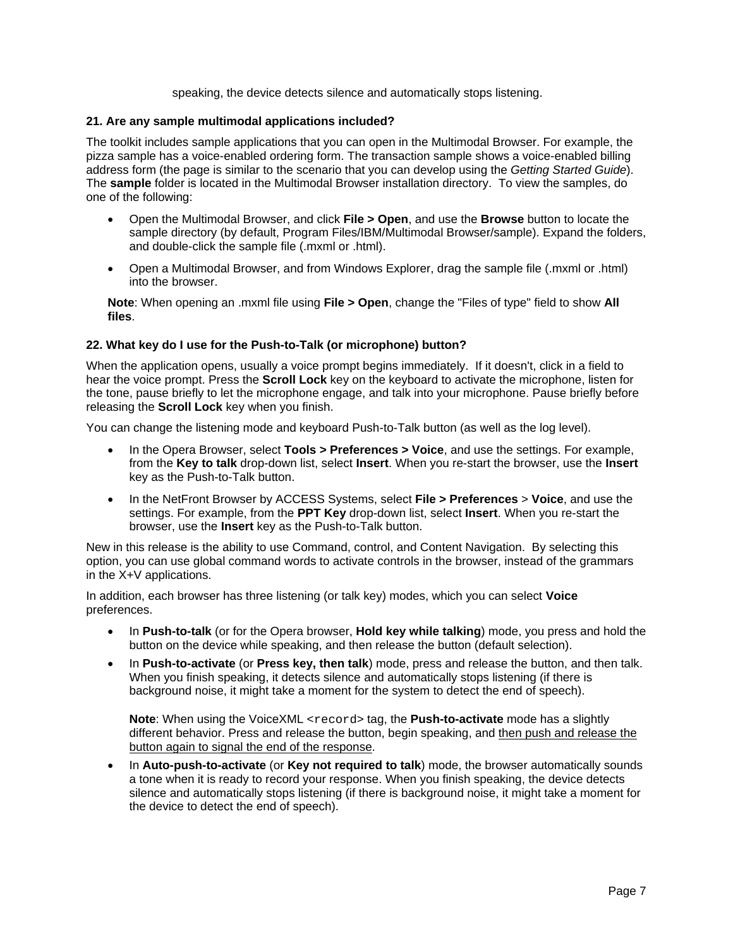speaking, the device detects silence and automatically stops listening.

# **21. Are any sample multimodal applications included?**

The toolkit includes sample applications that you can open in the Multimodal Browser. For example, the pizza sample has a voice-enabled ordering form. The transaction sample shows a voice-enabled billing address form (the page is similar to the scenario that you can develop using the *Getting Started Guide*). The **sample** folder is located in the Multimodal Browser installation directory. To view the samples, do one of the following:

- Open the Multimodal Browser, and click **File > Open**, and use the **Browse** button to locate the sample directory (by default, Program Files/IBM/Multimodal Browser/sample). Expand the folders, and double-click the sample file (.mxml or .html).
- Open a Multimodal Browser, and from Windows Explorer, drag the sample file (.mxml or .html) into the browser.

**Note**: When opening an .mxml file using **File > Open**, change the "Files of type" field to show **All files**.

# **22. What key do I use for the Push-to-Talk (or microphone) button?**

When the application opens, usually a voice prompt begins immediately. If it doesn't, click in a field to hear the voice prompt. Press the **Scroll Lock** key on the keyboard to activate the microphone, listen for the tone, pause briefly to let the microphone engage, and talk into your microphone. Pause briefly before releasing the **Scroll Lock** key when you finish.

You can change the listening mode and keyboard Push-to-Talk button (as well as the log level).

- In the Opera Browser, select **Tools > Preferences > Voice**, and use the settings. For example, from the **Key to talk** drop-down list, select **Insert**. When you re-start the browser, use the **Insert** key as the Push-to-Talk button.
- In the NetFront Browser by ACCESS Systems, select **File > Preferences** > **Voice**, and use the settings. For example, from the **PPT Key** drop-down list, select **Insert**. When you re-start the browser, use the **Insert** key as the Push-to-Talk button.

New in this release is the ability to use Command, control, and Content Navigation. By selecting this option, you can use global command words to activate controls in the browser, instead of the grammars in the X+V applications.

In addition, each browser has three listening (or talk key) modes, which you can select **Voice** preferences.

- In **Push-to-talk** (or for the Opera browser, **Hold key while talking**) mode, you press and hold the button on the device while speaking, and then release the button (default selection).
- In **Push-to-activate** (or **Press key, then talk**) mode, press and release the button, and then talk. When you finish speaking, it detects silence and automatically stops listening (if there is background noise, it might take a moment for the system to detect the end of speech).

**Note:** When using the VoiceXML <record> tag, the **Push-to-activate** mode has a slightly different behavior. Press and release the button, begin speaking, and then push and release the button again to signal the end of the response.

• In **Auto-push-to-activate** (or **Key not required to talk**) mode, the browser automatically sounds a tone when it is ready to record your response. When you finish speaking, the device detects silence and automatically stops listening (if there is background noise, it might take a moment for the device to detect the end of speech).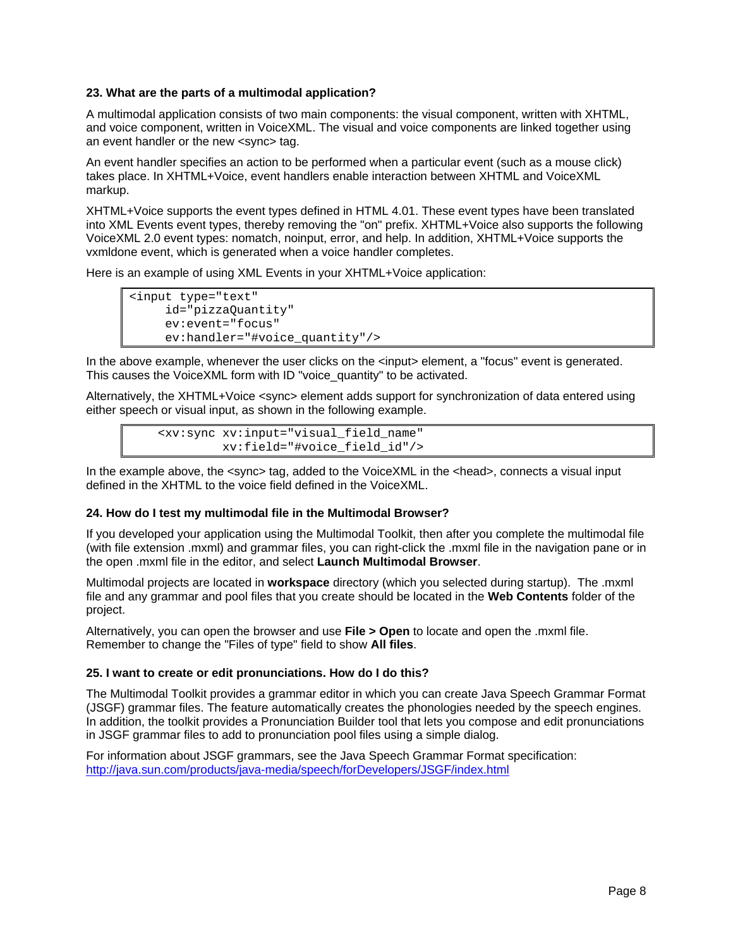## **23. What are the parts of a multimodal application?**

A multimodal application consists of two main components: the visual component, written with XHTML, and voice component, written in VoiceXML. The visual and voice components are linked together using an event handler or the new <sync> tag.

An event handler specifies an action to be performed when a particular event (such as a mouse click) takes place. In XHTML+Voice, event handlers enable interaction between XHTML and VoiceXML markup.

XHTML+Voice supports the event types defined in HTML 4.01. These event types have been translated into XML Events event types, thereby removing the "on" prefix. XHTML+Voice also supports the following VoiceXML 2.0 event types: nomatch, noinput, error, and help. In addition, XHTML+Voice supports the vxmldone event, which is generated when a voice handler completes.

Here is an example of using XML Events in your XHTML+Voice application:

```
<input type="text" 
      id="pizzaQuantity" 
      ev:event="focus" 
      ev:handler="#voice_quantity"/>
```
In the above example, whenever the user clicks on the <input> element, a "focus" event is generated. This causes the VoiceXML form with ID "voice\_quantity" to be activated.

Alternatively, the XHTML+Voice <sync> element adds support for synchronization of data entered using either speech or visual input, as shown in the following example.

```
 <xv:sync xv:input="visual_field_name" 
          xv:field="#voice_field_id"/>
```
In the example above, the  $\langle$ sync> tag, added to the VoiceXML in the  $\langle$ head>, connects a visual input defined in the XHTML to the voice field defined in the VoiceXML.

#### **24. How do I test my multimodal file in the Multimodal Browser?**

If you developed your application using the Multimodal Toolkit, then after you complete the multimodal file (with file extension .mxml) and grammar files, you can right-click the .mxml file in the navigation pane or in the open .mxml file in the editor, and select **Launch Multimodal Browser**.

Multimodal projects are located in **workspace** directory (which you selected during startup). The .mxml file and any grammar and pool files that you create should be located in the **Web Contents** folder of the project.

Alternatively, you can open the browser and use **File > Open** to locate and open the .mxml file. Remember to change the "Files of type" field to show **All files**.

#### **25. I want to create or edit pronunciations. How do I do this?**

The Multimodal Toolkit provides a grammar editor in which you can create Java Speech Grammar Format (JSGF) grammar files. The feature automatically creates the phonologies needed by the speech engines. In addition, the toolkit provides a Pronunciation Builder tool that lets you compose and edit pronunciations in JSGF grammar files to add to pronunciation pool files using a simple dialog.

For information about JSGF grammars, see the Java Speech Grammar Format specification: <http://java.sun.com/products/java-media/speech/forDevelopers/JSGF/index.html>